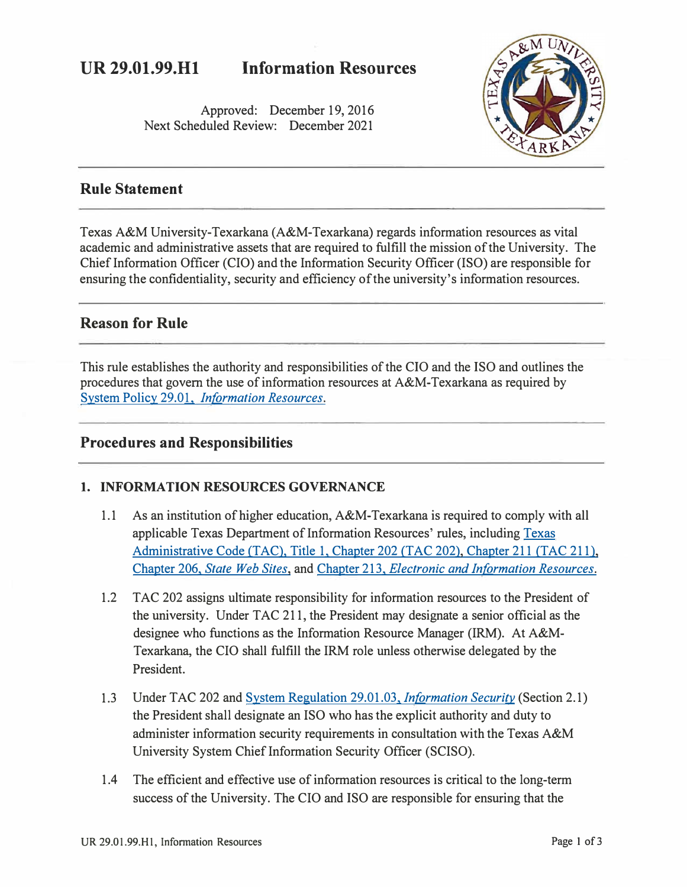# **UR 29.01.99.Hl Information Resources**

Approved: December 19, 2016 Next Scheduled Review: December 2021



### **Rule Statement**

Texas A&M University-Texarkana (A&M-Texarkana) regards information resources as vital academic and administrative assets that are required to fulfill the mission of the University. The Chief Information Officer (CIO) and the Information Security Officer (ISO) are responsible for ensuring the confidentiality, security and efficiency of the university's information resources.

### **Reason for Rule**

This rule establishes the authority and responsibilities of the CIO and the ISO and outlines the procedures that govern the use of information resources at A&M-Texarkana as required by System Policy 29.01, *[Information Resources.](http://policies.tamus.edu/29-01.pdf)* 

### **Procedures and Responsibilities**

### **1. INFORMATION RESOURCES GOVERNANCE**

- 1.1 As an institution of higher education, A&M-Texarkana is required to comply with all applicable [Texas](https://texreg.sos.state.tx.us/public/readtac$ext.ViewTAC?tac_view=4&ti=1&pt=10&ch=211) Department of Information Resources' rules, including Texas [Administrative Code \(TAC\). Title 1. Chapter 202](https://texreg.sos.state.tx.us/public/readtac$ext.ViewTAC?tac_view=4&ti=1&pt=10&ch=211) *(TAC* 202). Chapter 211 *(TAC* 211 ). Chapter 206. *[State Web Sites,](https://texreg.sos.state.tx.us/public/readtac$ext.ViewTAC?tac_view=4&ti=1&pt=10&ch=206)* and Chapter 213. *[Electronic and Information Resources.](https://texreg.sos.state.tx.us/public/readtac$ext.ViewTAC?tac_view=4&ti=1&pt=10&ch=213)*
- 1.2 TAC 202 assigns ultimate responsibility for information resources to the President of the university. Under TAC 211, the President may designate a senior official as the designee who functions as the Information Resource Manager (IRM). At A&M-Texarkana, the CIO shall fulfill the IRM role unless otherwise delegated by the President.
- 1.3 Under TAC 202 and [System Regulation 29.01.03.](http://policies.tamus.edu/29-01-03.pdf) *Information Security* (Section 2.1) the President shall designate an ISO who has the explicit authority and duty to administer information security requirements in consultation with the Texas A&M University System Chief Information Security Officer (SCISO).
- 1.4 The efficient and effective use of information resources is critical to the long-term success of the University. The CIO and ISO are responsible for ensuring that the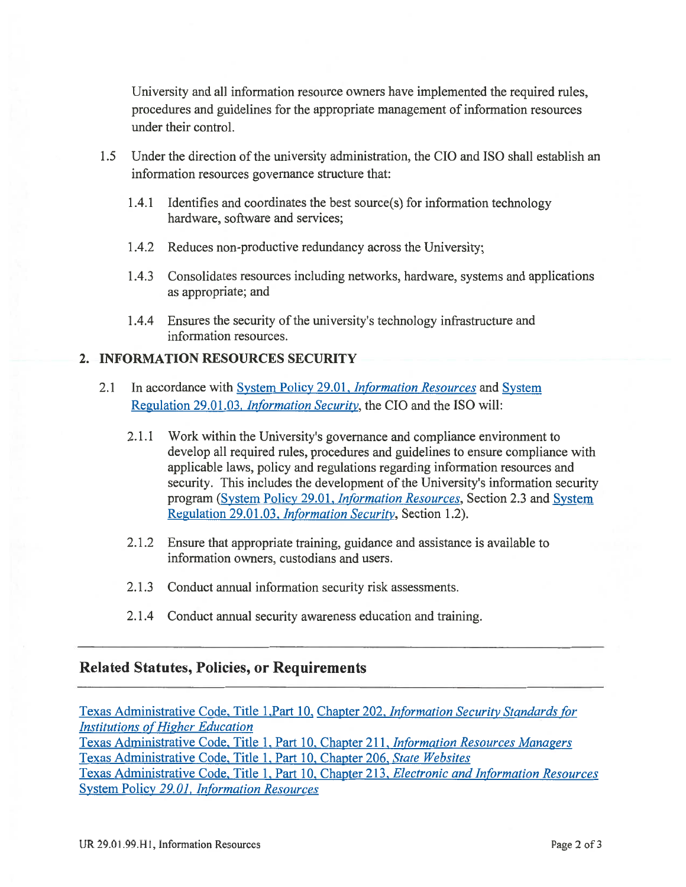University and all information resource owners have implemented the required rules, procedures and guidelines for the appropriate management of information resources under their control.

- 1.5 Under the direction of the university administration, the CIO and ISO shall establish an information resources governance structure that:
	- 1.4.1 Identifies and coordinates the best source(s) for information technology hardware, software and services;
	- 1.4.2 Reduces non-productive redundancy across the University;
	- 1.4.3 Consolidates resources including networks, hardware, systems and applications as appropriate; and
	- 1.4.4 Ensures the security of the university's technology infrastructure and information resources.

#### 2. INFORMATION RESOURCES SECURITY

- In accordance with System Policy 29.01, *Information Resources* and System  $2.1$ Regulation 29.01.03, *Information Security*, the CIO and the ISO will:
	- 2.1.1 Work within the University's governance and compliance environment to develop all required rules, procedures and guidelines to ensure compliance with applicable laws, policy and regulations regarding information resources and security. This includes the development of the University's information security program (System Policy 29.01, *Information Resources*, Section 2.3 and System Regulation 29.01.03, *Information Security*, Section 1.2).
	- 2.1.2 Ensure that appropriate training, guidance and assistance is available to information owners, custodians and users.
	- 2.1.3 Conduct annual information security risk assessments.
	- 2.1.4 Conduct annual security awareness education and training.

#### **Related Statutes, Policies, or Requirements**

Texas Administrative Code, Title 1, Part 10, Chapter 202, Information Security Standards for **Institutions of Higher Education** Texas Administrative Code, Title 1, Part 10, Chapter 211, Information Resources Managers Texas Administrative Code, Title 1, Part 10, Chapter 206, State Websites Texas Administrative Code, Title 1, Part 10, Chapter 213, Electronic and Information Resources System Policy 29.01, Information Resources